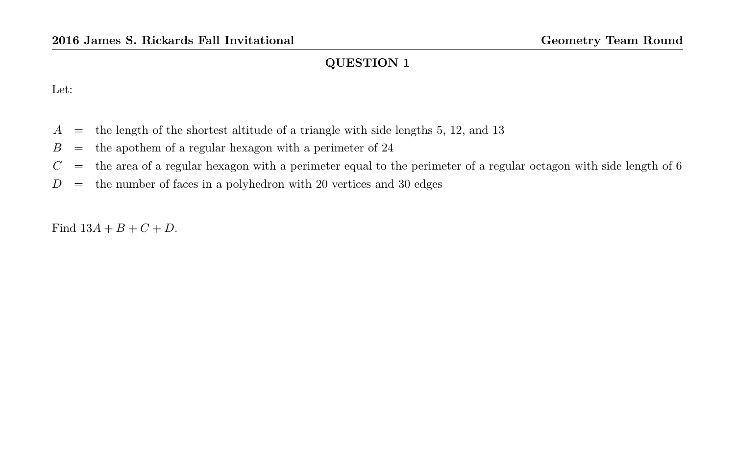Let:

- $A =$  the length of the shortest altitude of a triangle with side lengths 5, 12, and 13
- $B =$  the apothem of a regular hexagon with a perimeter of 24
- $C =$  the area of a regular hexagon with a perimeter equal to the perimeter of a regular octagon with side length of 6
- $D =$  the number of faces in a polyhedron with 20 vertices and 30 edges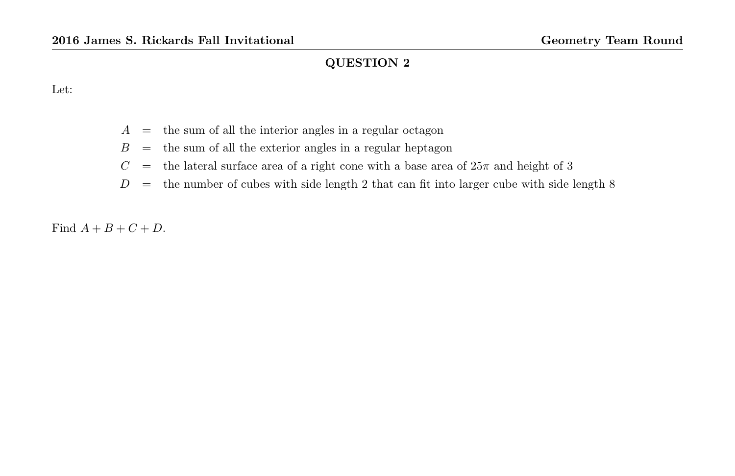Let:

- $A =$  the sum of all the interior angles in a regular octagon
- $B =$  the sum of all the exterior angles in a regular heptagon
- $C =$  the lateral surface area of a right cone with a base area of  $25\pi$  and height of 3
- $D =$  the number of cubes with side length 2 that can fit into larger cube with side length 8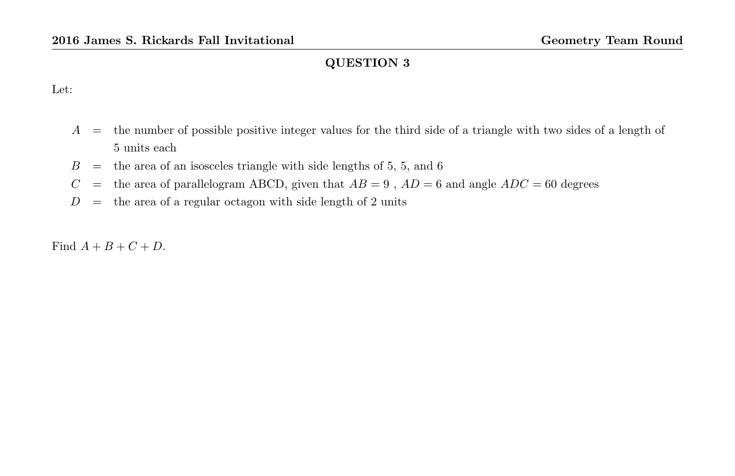Let:

- $A =$  the number of possible positive integer values for the third side of a triangle with two sides of a length of 5 units each
- $B =$  the area of an isosceles triangle with side lengths of 5, 5, and 6
- $C =$  the area of parallelogram ABCD, given that  $AB = 9$ ,  $AD = 6$  and angle  $ADC = 60$  degrees
- $D =$  the area of a regular octagon with side length of 2 units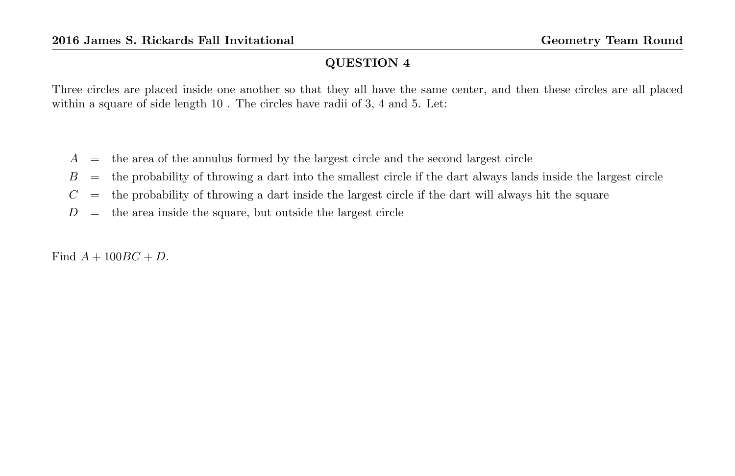Three circles are placed inside one another so that they all have the same center, and then these circles are all placed within a square of side length 10 . The circles have radii of 3, 4 and 5. Let:

- $A =$  the area of the annulus formed by the largest circle and the second largest circle
- $B =$  the probability of throwing a dart into the smallest circle if the dart always lands inside the largest circle
- $C =$  the probability of throwing a dart inside the largest circle if the dart will always hit the square
- $D =$  the area inside the square, but outside the largest circle

Find  $A + 100BC + D$ .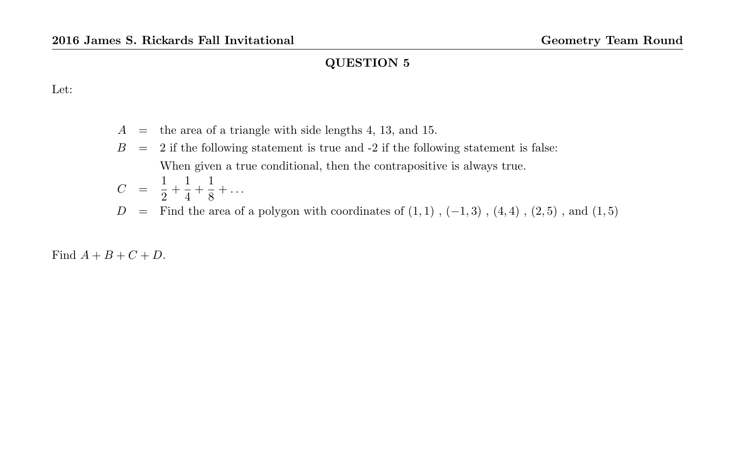Let:

- $A =$  the area of a triangle with side lengths 4, 13, and 15.
- $B = 2$  if the following statement is true and  $-2$  if the following statement is false: When given a true conditional, then the contrapositive is always true.

$$
C = \frac{1}{2} + \frac{1}{4} + \frac{1}{8} + \dots
$$
  
D = Find the area of a polygon with coordinates of (1, 1), (-1, 3), (4, 4), (2, 5), and (1, 5)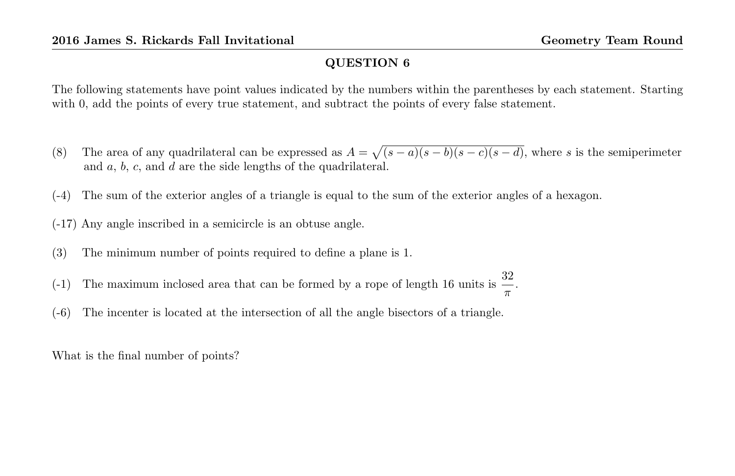The following statements have point values indicated by the numbers within the parentheses by each statement. Starting with 0, add the points of every true statement, and subtract the points of every false statement.

- (8) The area of any quadrilateral can be expressed as  $A = \sqrt{(s-a)(s-b)(s-c)(s-d)}$ , where s is the semiperimeter and a, b, c, and d are the side lengths of the quadrilateral.
- (-4) The sum of the exterior angles of a triangle is equal to the sum of the exterior angles of a hexagon.
- (-17) Any angle inscribed in a semicircle is an obtuse angle.
- (3) The minimum number of points required to define a plane is 1.
- (-1) The maximum inclosed area that can be formed by a rope of length 16 units is  $\frac{32}{\pi}$ .
- (-6) The incenter is located at the intersection of all the angle bisectors of a triangle.

What is the final number of points?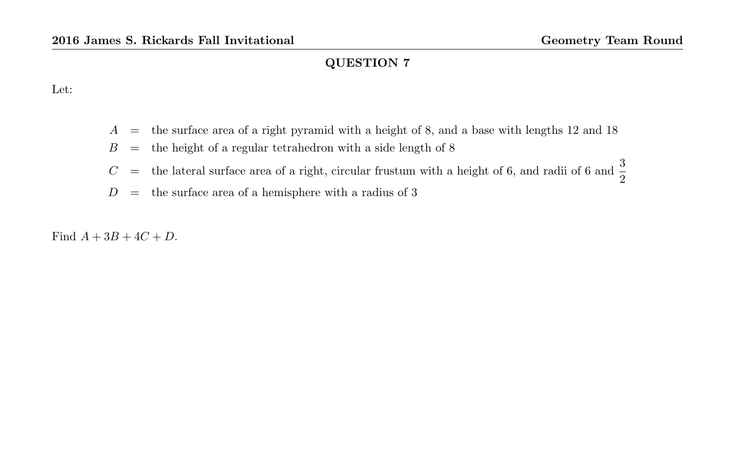Let:

- $A =$  the surface area of a right pyramid with a height of 8, and a base with lengths 12 and 18
- $B =$  the height of a regular tetrahedron with a side length of 8
- $C =$  the lateral surface area of a right, circular frustum with a height of 6, and radii of 6 and  $\frac{3}{2}$
- $D =$  the surface area of a hemisphere with a radius of 3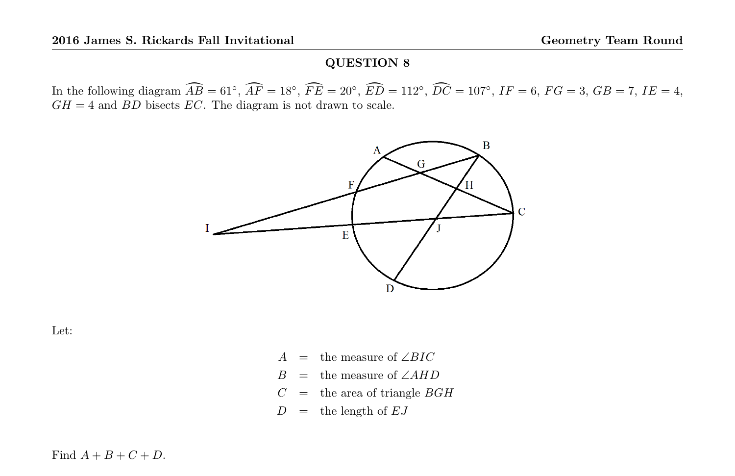In the following diagram  $\widehat{AB} = 61^\circ$ ,  $\widehat{AF} = 18^\circ$ ,  $\widehat{FE} = 20^\circ$ ,  $\widehat{ED} = 112^\circ$ ,  $\widehat{DC} = 107^\circ$ ,  $IF = 6$ ,  $FG = 3$ ,  $GB = 7$ ,  $IE = 4$ ,  $GH = 4$  and  $BD$  bisects  $EC$ . The diagram is not drawn to scale.



Let:

- A = the measure of  $\angle BIC$
- $B =$  the measure of ∠AHD
- $C =$  the area of triangle  $BGH$

 $D =$  the length of  $EJ$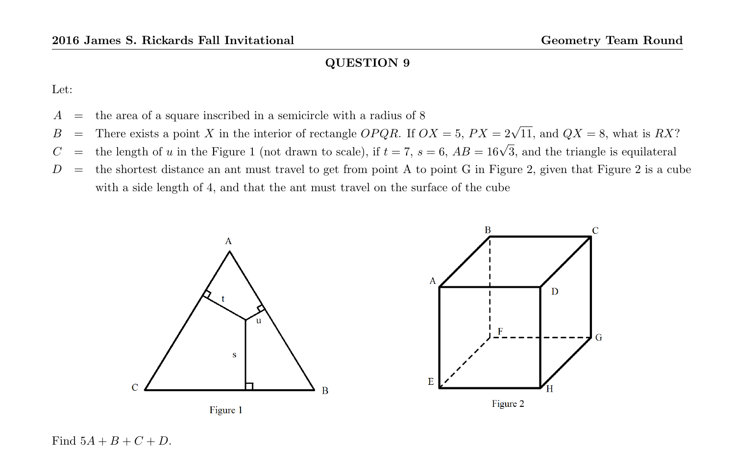Let:

- $A =$  the area of a square inscribed in a semicircle with a radius of 8
- B = There exists a point X in the interior of rectangle OPQR. If  $OX = 5$ ,  $PX = 2\sqrt{11}$ , and  $QX = 8$ , what is RX?
- C = the length of u in the Figure 1 (not drawn to scale), if  $t = 7$ ,  $s = 6$ ,  $AB = 16\sqrt{3}$ , and the triangle is equilateral
- $D =$  the shortest distance an ant must travel to get from point A to point G in Figure 2, given that Figure 2 is a cube with a side length of 4, and that the ant must travel on the surface of the cube



Find  $5A + B + C + D$ .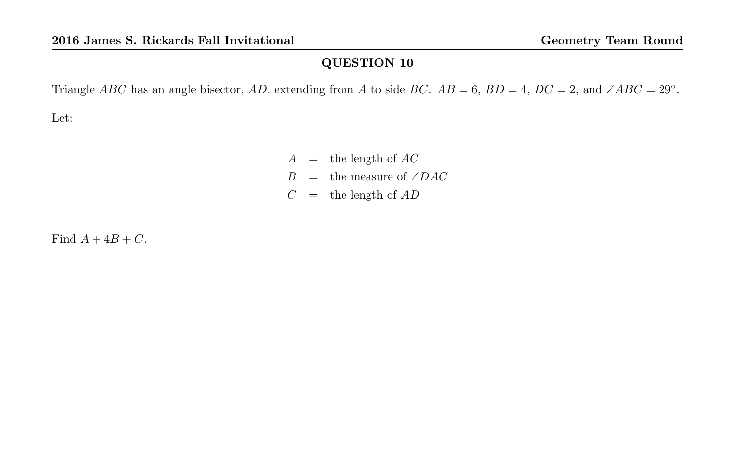Triangle ABC has an angle bisector, AD, extending from A to side BC.  $AB = 6$ ,  $BD = 4$ ,  $DC = 2$ , and  $\angle ABC = 29^\circ$ .

Let:

 $A =$  the length of  $AC$  $B =$  the measure of ∠DAC  $C =$  the length of  $AD$ 

Find  $A + 4B + C$ .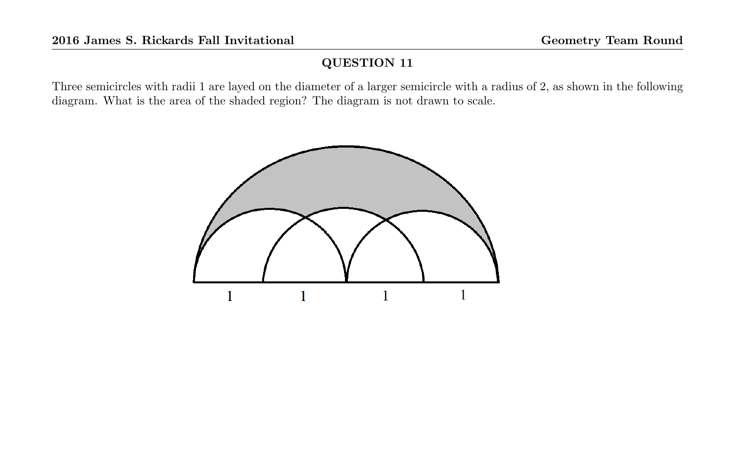Three semicircles with radii 1 are layed on the diameter of a larger semicircle with a radius of 2, as shown in the following diagram. What is the area of the shaded region? The diagram is not drawn to scale.

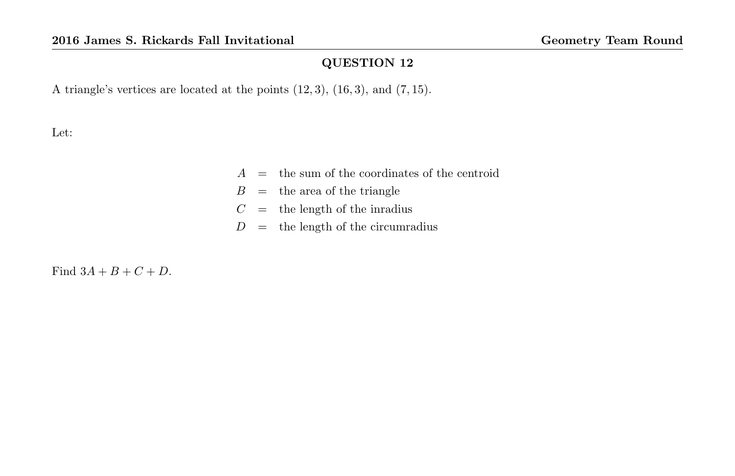A triangle's vertices are located at the points  $(12, 3)$ ,  $(16, 3)$ , and  $(7, 15)$ .

Let:

- $A =$  the sum of the coordinates of the centroid
- $B =$  the area of the triangle
- $C =$  the length of the inradius
- $D =$  the length of the circumradius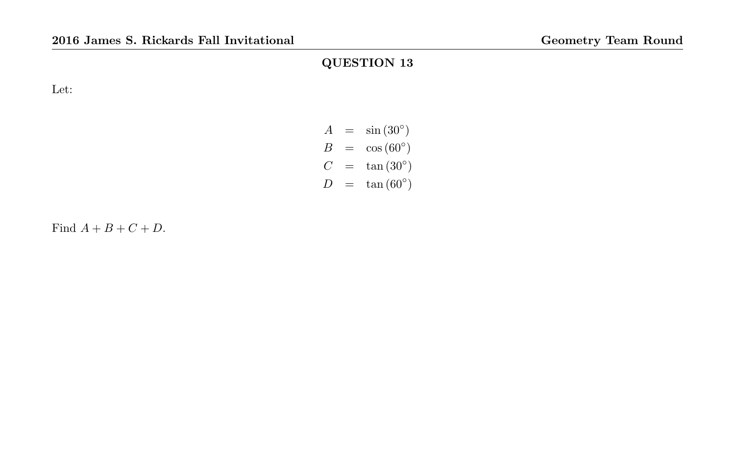Let:

| $\boldsymbol{A}$ | $\sin(30^\circ)$  |
|------------------|-------------------|
| R                | $\cos(60^\circ)$  |
| C.               | $\tan(30^\circ)$  |
| $\prime$         | $\tan (60^\circ)$ |